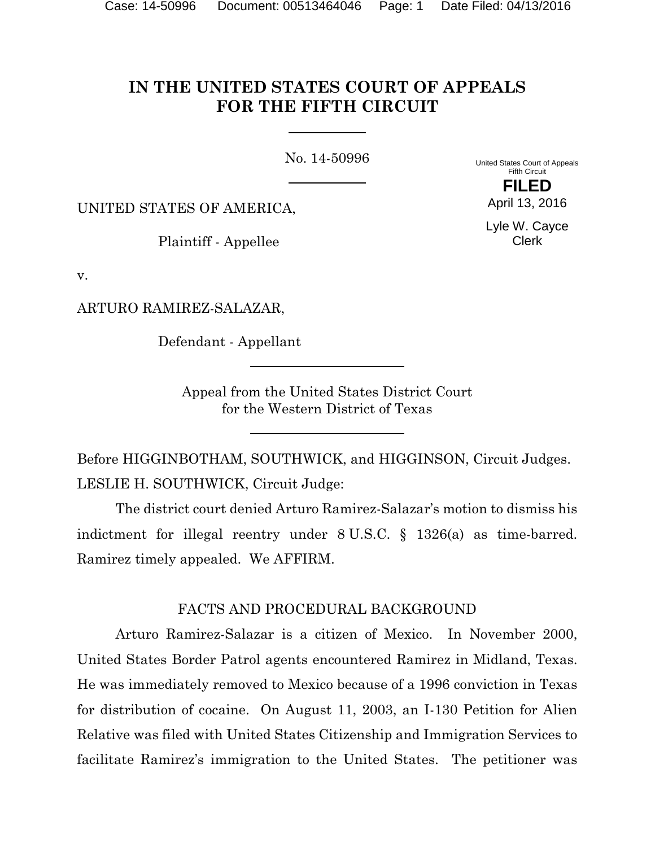# **IN THE UNITED STATES COURT OF APPEALS FOR THE FIFTH CIRCUIT**

No. 14-50996

United States Court of Appeals Fifth Circuit **FILED**

UNITED STATES OF AMERICA,

Plaintiff - Appellee

Lyle W. Cayce Clerk

April 13, 2016

v.

ARTURO RAMIREZ-SALAZAR,

Defendant - Appellant

Appeal from the United States District Court for the Western District of Texas

Before HIGGINBOTHAM, SOUTHWICK, and HIGGINSON, Circuit Judges. LESLIE H. SOUTHWICK, Circuit Judge:

The district court denied Arturo Ramirez-Salazar's motion to dismiss his indictment for illegal reentry under 8 U.S.C. § 1326(a) as time-barred. Ramirez timely appealed. We AFFIRM.

# FACTS AND PROCEDURAL BACKGROUND

Arturo Ramirez-Salazar is a citizen of Mexico. In November 2000, United States Border Patrol agents encountered Ramirez in Midland, Texas. He was immediately removed to Mexico because of a 1996 conviction in Texas for distribution of cocaine. On August 11, 2003, an I-130 Petition for Alien Relative was filed with United States Citizenship and Immigration Services to facilitate Ramirez's immigration to the United States. The petitioner was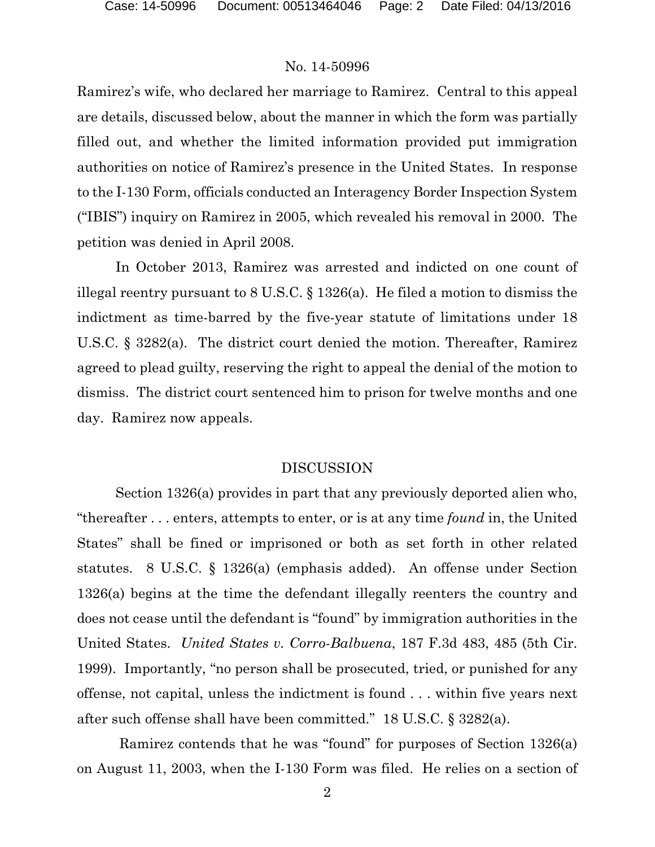Ramirez's wife, who declared her marriage to Ramirez. Central to this appeal are details, discussed below, about the manner in which the form was partially filled out, and whether the limited information provided put immigration authorities on notice of Ramirez's presence in the United States. In response to the I-130 Form, officials conducted an Interagency Border Inspection System ("IBIS") inquiry on Ramirez in 2005, which revealed his removal in 2000. The petition was denied in April 2008.

In October 2013, Ramirez was arrested and indicted on one count of illegal reentry pursuant to 8 U.S.C. § 1326(a). He filed a motion to dismiss the indictment as time-barred by the five-year statute of limitations under 18 U.S.C. § 3282(a). The district court denied the motion. Thereafter, Ramirez agreed to plead guilty, reserving the right to appeal the denial of the motion to dismiss. The district court sentenced him to prison for twelve months and one day. Ramirez now appeals.

#### DISCUSSION

Section 1326(a) provides in part that any previously deported alien who, "thereafter . . . enters, attempts to enter, or is at any time *found* in, the United States" shall be fined or imprisoned or both as set forth in other related statutes. 8 U.S.C. § 1326(a) (emphasis added). An offense under Section 1326(a) begins at the time the defendant illegally reenters the country and does not cease until the defendant is "found" by immigration authorities in the United States. *United States v. Corro-Balbuena*, 187 F.3d 483, 485 (5th Cir. 1999). Importantly, "no person shall be prosecuted, tried, or punished for any offense, not capital, unless the indictment is found . . . within five years next after such offense shall have been committed." 18 U.S.C. § 3282(a).

Ramirez contends that he was "found" for purposes of Section 1326(a) on August 11, 2003, when the I-130 Form was filed. He relies on a section of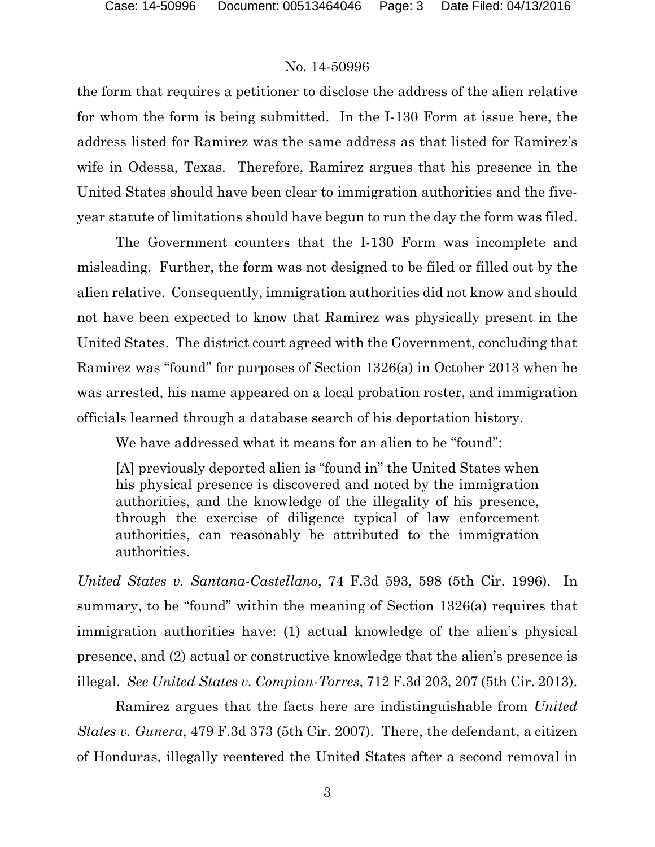the form that requires a petitioner to disclose the address of the alien relative for whom the form is being submitted. In the I-130 Form at issue here, the address listed for Ramirez was the same address as that listed for Ramirez's wife in Odessa, Texas. Therefore, Ramirez argues that his presence in the United States should have been clear to immigration authorities and the fiveyear statute of limitations should have begun to run the day the form was filed.

The Government counters that the I-130 Form was incomplete and misleading. Further, the form was not designed to be filed or filled out by the alien relative. Consequently, immigration authorities did not know and should not have been expected to know that Ramirez was physically present in the United States. The district court agreed with the Government, concluding that Ramirez was "found" for purposes of Section 1326(a) in October 2013 when he was arrested, his name appeared on a local probation roster, and immigration officials learned through a database search of his deportation history.

We have addressed what it means for an alien to be "found":

[A] previously deported alien is "found in" the United States when his physical presence is discovered and noted by the immigration authorities, and the knowledge of the illegality of his presence, through the exercise of diligence typical of law enforcement authorities, can reasonably be attributed to the immigration authorities.

*United States v. Santana-Castellano*, 74 F.3d 593, 598 (5th Cir. 1996). In summary, to be "found" within the meaning of Section 1326(a) requires that immigration authorities have: (1) actual knowledge of the alien's physical presence, and (2) actual or constructive knowledge that the alien's presence is illegal. *See United States v. Compian-Torres*, 712 F.3d 203, 207 (5th Cir. 2013).

Ramirez argues that the facts here are indistinguishable from *United States v. Gunera*, 479 F.3d 373 (5th Cir. 2007). There, the defendant, a citizen of Honduras, illegally reentered the United States after a second removal in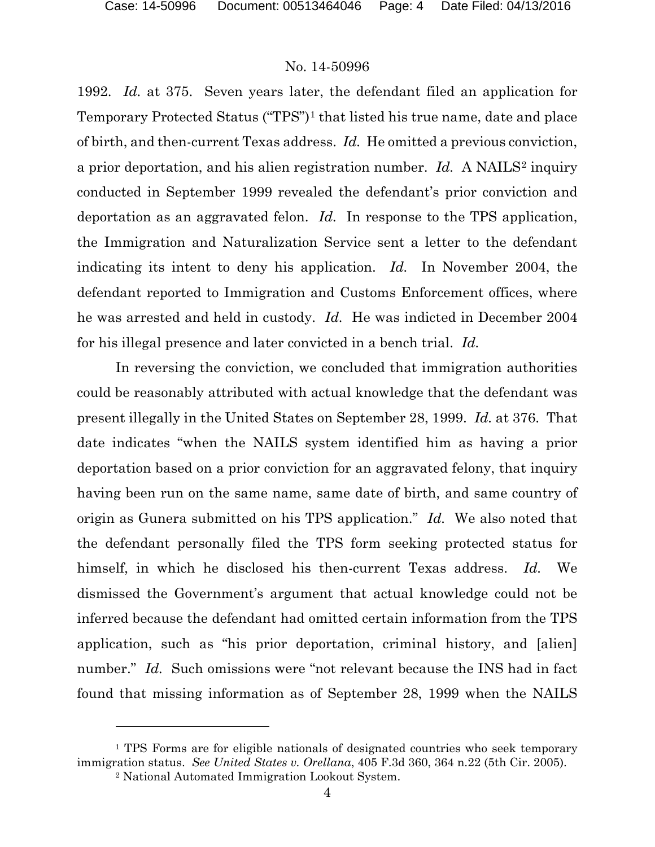1992. *Id.* at 375. Seven years later, the defendant filed an application for Temporary Protected Status ("TPS")[1](#page-3-0) that listed his true name, date and place of birth, and then-current Texas address. *Id.* He omitted a previous conviction, a prior deportation, and his alien registration number. *Id.* A NAILS[2](#page-3-1) inquiry conducted in September 1999 revealed the defendant's prior conviction and deportation as an aggravated felon. *Id.* In response to the TPS application, the Immigration and Naturalization Service sent a letter to the defendant indicating its intent to deny his application. *Id.* In November 2004, the defendant reported to Immigration and Customs Enforcement offices, where he was arrested and held in custody. *Id.* He was indicted in December 2004 for his illegal presence and later convicted in a bench trial. *Id.*

In reversing the conviction, we concluded that immigration authorities could be reasonably attributed with actual knowledge that the defendant was present illegally in the United States on September 28, 1999. *Id.* at 376. That date indicates "when the NAILS system identified him as having a prior deportation based on a prior conviction for an aggravated felony, that inquiry having been run on the same name, same date of birth, and same country of origin as Gunera submitted on his TPS application." *Id.* We also noted that the defendant personally filed the TPS form seeking protected status for himself, in which he disclosed his then-current Texas address. *Id.* We dismissed the Government's argument that actual knowledge could not be inferred because the defendant had omitted certain information from the TPS application, such as "his prior deportation, criminal history, and [alien] number." *Id.* Such omissions were "not relevant because the INS had in fact found that missing information as of September 28, 1999 when the NAILS

 $\overline{a}$ 

<span id="page-3-1"></span><span id="page-3-0"></span><sup>&</sup>lt;sup>1</sup> TPS Forms are for eligible nationals of designated countries who seek temporary immigration status. *See United States v. Orellana*, 405 F.3d 360, 364 n.22 (5th Cir. 2005).

<sup>2</sup> National Automated Immigration Lookout System.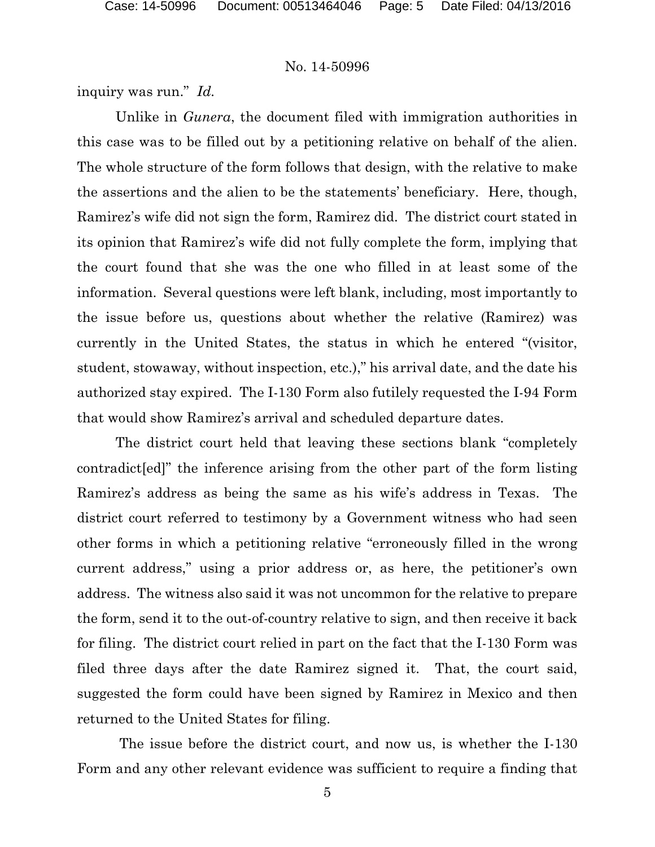inquiry was run." *Id.*

Unlike in *Gunera*, the document filed with immigration authorities in this case was to be filled out by a petitioning relative on behalf of the alien. The whole structure of the form follows that design, with the relative to make the assertions and the alien to be the statements' beneficiary. Here, though, Ramirez's wife did not sign the form, Ramirez did. The district court stated in its opinion that Ramirez's wife did not fully complete the form, implying that the court found that she was the one who filled in at least some of the information. Several questions were left blank, including, most importantly to the issue before us, questions about whether the relative (Ramirez) was currently in the United States, the status in which he entered "(visitor, student, stowaway, without inspection, etc.)," his arrival date, and the date his authorized stay expired. The I-130 Form also futilely requested the I-94 Form that would show Ramirez's arrival and scheduled departure dates.

The district court held that leaving these sections blank "completely contradict[ed]" the inference arising from the other part of the form listing Ramirez's address as being the same as his wife's address in Texas. The district court referred to testimony by a Government witness who had seen other forms in which a petitioning relative "erroneously filled in the wrong current address," using a prior address or, as here, the petitioner's own address. The witness also said it was not uncommon for the relative to prepare the form, send it to the out-of-country relative to sign, and then receive it back for filing. The district court relied in part on the fact that the I-130 Form was filed three days after the date Ramirez signed it. That, the court said, suggested the form could have been signed by Ramirez in Mexico and then returned to the United States for filing.

The issue before the district court, and now us, is whether the I-130 Form and any other relevant evidence was sufficient to require a finding that

5